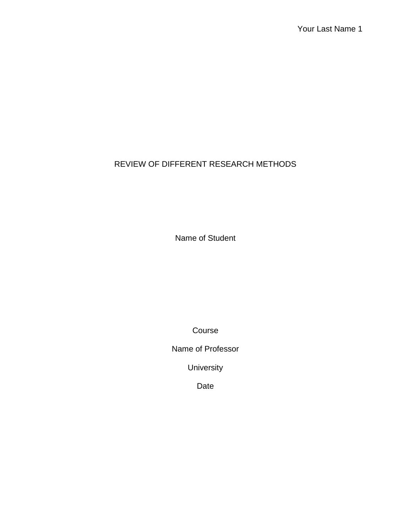# REVIEW OF DIFFERENT RESEARCH METHODS

Name of Student

Course

Name of Professor

University

Date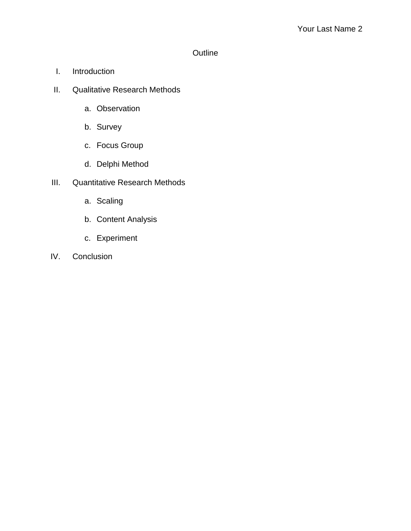# **Outline**

- I. Introduction
- II. Qualitative Research Methods
	- a. Observation
	- b. Survey
	- c. Focus Group
	- d. Delphi Method
- III. Quantitative Research Methods
	- a. Scaling
	- b. Content Analysis
	- c. Experiment
- IV. Conclusion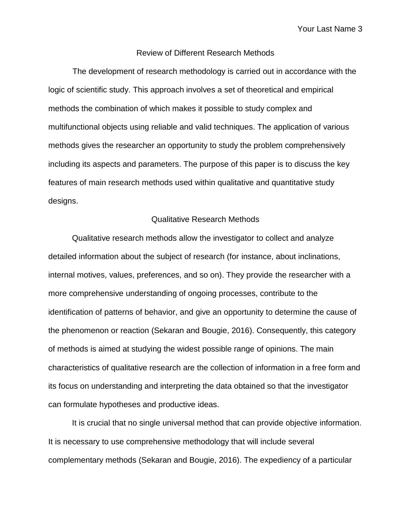Your Last Name 3

## Review of Different Research Methods

The development of research methodology is carried out in accordance with the logic of scientific study. This approach involves a set of theoretical and empirical methods the combination of which makes it possible to study complex and multifunctional objects using reliable and valid techniques. The application of various methods gives the researcher an opportunity to study the problem comprehensively including its aspects and parameters. The purpose of this paper is to discuss the key features of main research methods used within qualitative and quantitative study designs.

### Qualitative Research Methods

Qualitative research methods allow the investigator to collect and analyze detailed information about the subject of research (for instance, about inclinations, internal motives, values, preferences, and so on). They provide the researcher with a more comprehensive understanding of ongoing processes, contribute to the identification of patterns of behavior, and give an opportunity to determine the cause of the phenomenon or reaction (Sekaran and Bougie, 2016). Consequently, this category of methods is aimed at studying the widest possible range of opinions. The main characteristics of qualitative research are the collection of information in a free form and its focus on understanding and interpreting the data obtained so that the investigator can formulate hypotheses and productive ideas.

It is crucial that no single universal method that can provide objective information. It is necessary to use comprehensive methodology that will include several complementary methods (Sekaran and Bougie, 2016). The expediency of a particular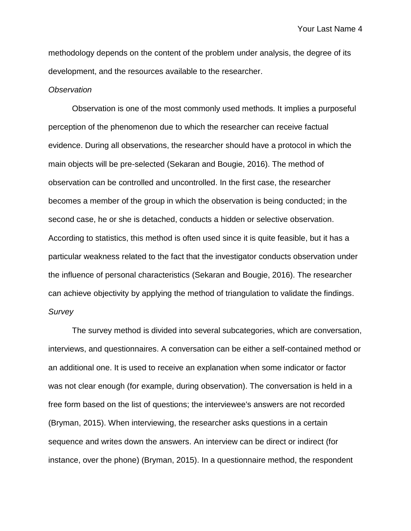methodology depends on the content of the problem under analysis, the degree of its development, and the resources available to the researcher.

#### *Observation*

Observation is one of the most commonly used methods. It implies a purposeful perception of the phenomenon due to which the researcher can receive factual evidence. During all observations, the researcher should have a protocol in which the main objects will be pre-selected (Sekaran and Bougie, 2016). The method of observation can be controlled and uncontrolled. In the first case, the researcher becomes a member of the group in which the observation is being conducted; in the second case, he or she is detached, conducts a hidden or selective observation. According to statistics, this method is often used since it is quite feasible, but it has a particular weakness related to the fact that the investigator conducts observation under the influence of personal characteristics (Sekaran and Bougie, 2016). The researcher can achieve objectivity by applying the method of triangulation to validate the findings. *Survey*

The survey method is divided into several subcategories, which are conversation, interviews, and questionnaires. A conversation can be either a self-contained method or an additional one. It is used to receive an explanation when some indicator or factor was not clear enough (for example, during observation). The conversation is held in a free form based on the list of questions; the interviewee's answers are not recorded (Bryman, 2015). When interviewing, the researcher asks questions in a certain sequence and writes down the answers. An interview can be direct or indirect (for instance, over the phone) (Bryman, 2015). In a questionnaire method, the respondent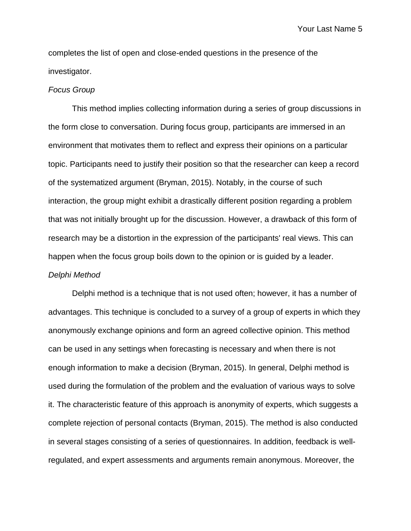Your Last Name 5

completes the list of open and close-ended questions in the presence of the investigator.

#### *Focus Group*

This method implies collecting information during a series of group discussions in the form close to conversation. During focus group, participants are immersed in an environment that motivates them to reflect and express their opinions on a particular topic. Participants need to justify their position so that the researcher can keep a record of the systematized argument (Bryman, 2015). Notably, in the course of such interaction, the group might exhibit a drastically different position regarding a problem that was not initially brought up for the discussion. However, a drawback of this form of research may be a distortion in the expression of the participants' real views. This can happen when the focus group boils down to the opinion or is guided by a leader. *Delphi Method*

Delphi method is a technique that is not used often; however, it has a number of advantages. This technique is concluded to a survey of a group of experts in which they anonymously exchange opinions and form an agreed collective opinion. This method can be used in any settings when forecasting is necessary and when there is not enough information to make a decision (Bryman, 2015). In general, Delphi method is used during the formulation of the problem and the evaluation of various ways to solve it. The characteristic feature of this approach is anonymity of experts, which suggests a complete rejection of personal contacts (Bryman, 2015). The method is also conducted in several stages consisting of a series of questionnaires. In addition, feedback is wellregulated, and expert assessments and arguments remain anonymous. Moreover, the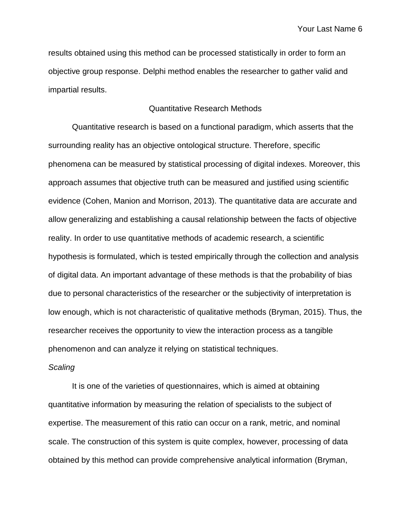results obtained using this method can be processed statistically in order to form an objective group response. Delphi method enables the researcher to gather valid and impartial results.

## Quantitative Research Methods

Quantitative research is based on a functional paradigm, which asserts that the surrounding reality has an objective ontological structure. Therefore, specific phenomena can be measured by statistical processing of digital indexes. Moreover, this approach assumes that objective truth can be measured and justified using scientific evidence (Cohen, Manion and Morrison, 2013). The quantitative data are accurate and allow generalizing and establishing a causal relationship between the facts of objective reality. In order to use quantitative methods of academic research, a scientific hypothesis is formulated, which is tested empirically through the collection and analysis of digital data. An important advantage of these methods is that the probability of bias due to personal characteristics of the researcher or the subjectivity of interpretation is low enough, which is not characteristic of qualitative methods (Bryman, 2015). Thus, the researcher receives the opportunity to view the interaction process as a tangible phenomenon and can analyze it relying on statistical techniques.

#### *Scaling*

It is one of the varieties of questionnaires, which is aimed at obtaining quantitative information by measuring the relation of specialists to the subject of expertise. The measurement of this ratio can occur on a rank, metric, and nominal scale. The construction of this system is quite complex, however, processing of data obtained by this method can provide comprehensive analytical information (Bryman,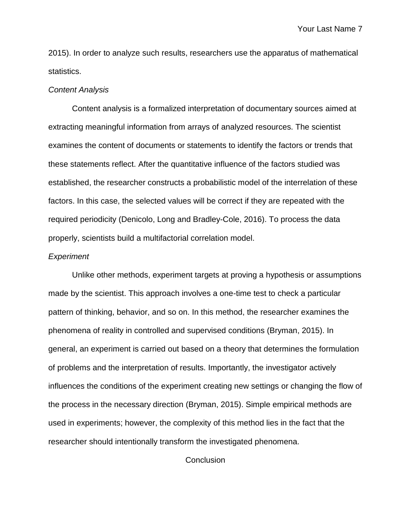2015). In order to analyze such results, researchers use the apparatus of mathematical statistics.

#### *Content Analysis*

Content analysis is a formalized interpretation of documentary sources aimed at extracting meaningful information from arrays of analyzed resources. The scientist examines the content of documents or statements to identify the factors or trends that these statements reflect. After the quantitative influence of the factors studied was established, the researcher constructs a probabilistic model of the interrelation of these factors. In this case, the selected values will be correct if they are repeated with the required periodicity (Denicolo, Long and Bradley-Cole, 2016). To process the data properly, scientists build a multifactorial correlation model.

### *Experiment*

Unlike other methods, experiment targets at proving a hypothesis or assumptions made by the scientist. This approach involves a one-time test to check a particular pattern of thinking, behavior, and so on. In this method, the researcher examines the phenomena of reality in controlled and supervised conditions (Bryman, 2015). In general, an experiment is carried out based on a theory that determines the formulation of problems and the interpretation of results. Importantly, the investigator actively influences the conditions of the experiment creating new settings or changing the flow of the process in the necessary direction (Bryman, 2015). Simple empirical methods are used in experiments; however, the complexity of this method lies in the fact that the researcher should intentionally transform the investigated phenomena.

**Conclusion**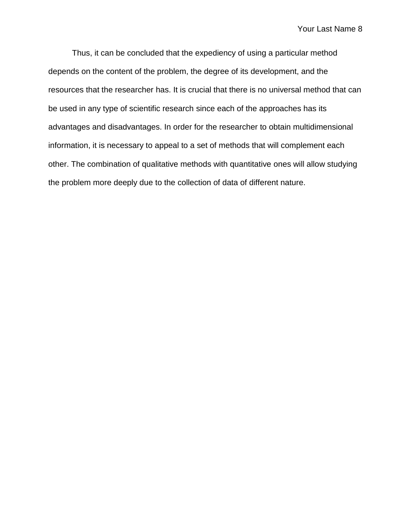Thus, it can be concluded that the expediency of using a particular method depends on the content of the problem, the degree of its development, and the resources that the researcher has. It is crucial that there is no universal method that can be used in any type of scientific research since each of the approaches has its advantages and disadvantages. In order for the researcher to obtain multidimensional information, it is necessary to appeal to a set of methods that will complement each other. The combination of qualitative methods with quantitative ones will allow studying the problem more deeply due to the collection of data of different nature.